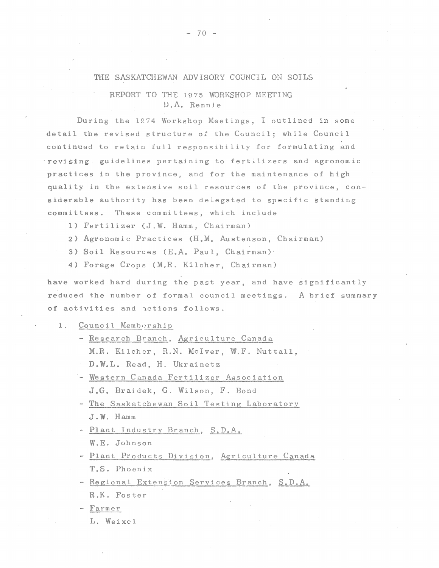## THE SASKATCHEWAN ADVISORY COUNCIL ON SOILS

# REPORT TO THE 1975 WORKSHOP MEETING D.A. Rennie

During the 1974 Workshop Meetings, I outlined in some detail the revised structure of the Council; while Council continued to retain full responsibility for formulating and ·revising guidelines pertaining to fertilizers and agronomic practices in the province, and for the maintenance of high quality in the extensive soil resources of the province; considerable authority has been delegated to specific standing committees. These committees, which include

1) Fertilizer (J.W. Hamm, Chairman)

2) Agronomic Practices (H.M. Austenson, Chairman)

3) Soil Resources (E.A. Paul, Chairman)'

4) Forage Crops (M.R. Kilcher, Chairman)

have worked hard during the past year, and have significantly reduced the number of formal council meetings. A brief summary of activities and actions follows.

#### 1. Council Membership

- Research Branch, Agriculture Canada M.R. Kilcher, R.N. McIver, W.F. Nuttall, D.W.L. Read, H. Ukrainetz
- Western Canada Fertilizer Association J.G. Braidek, G. Wilson, F. Bond
- The Saskatchewan Soil Testing Laboratory J. W. Hamm
- Plant Industry Branch, S,D.A. W.E. Johnson
- Plant Products Division, Agriculture Canada T.S. Phoenix
- Regional Extension Services Branch, S.D.A. R.K. Foster

Farmer

L. Weixel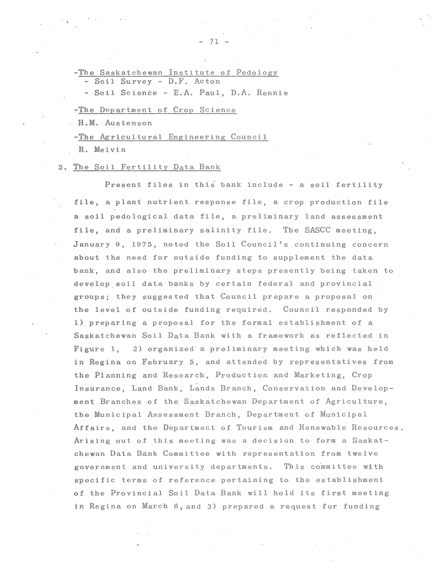-The Saskatchewan Institute of Pedology - Soil Survey - D.F. Acton

- Soil Science - E.A. Paul, D.A. Rennie

#### -The Department of Crop Science

. H • M. · Au s ten s on

-The Agricultural Engineering Council

R. Melvin

#### 2. The Soil Fertility Data Bank

Present files in this bank include - a soil fertility file, a plant nutrient response file, a crop production file a soil pedological data file, a preliminary land assessment file, and a preliminary salinity file. The SASCC meeting, January 9, 1975, noted the Soil Council's continuing concern about the need for outside funding to supplement the data bank, and also the preliminary steps presently being taken to develop.soil data banks by certain federal and provincial groups; they suggested that Council prepare a proposal on the level of outside funding required. Council responded by 1) preparing a proposal for the formal establishment of a Saskatchewan Soil Data Bank with a framework as reflected in Figure 1, 2) organized a preliminary meeting which was held in Regina on February 5, and attended by representatives from the Planning and Research, Production and Marketing, Crop Insurance, Land Bank, Lands Branch, Conservation and Development Branches of the Saskatchewan Department of Agriculture, the Municipal Assessment Branch, Department of Municipal Affairs, and the Department of Tourism and Renewable Resources. Arising out of this meeting was a decision to form a Saskatchewan Data Bank Committee with representation from twelve government and university departments. This co'mmittee with specific terms of reference pertaining to the establishment of the Provincial Soil Data Bank will hold its first meeting in Regina on March 6, and 3) prepared a request for funding

- 71 -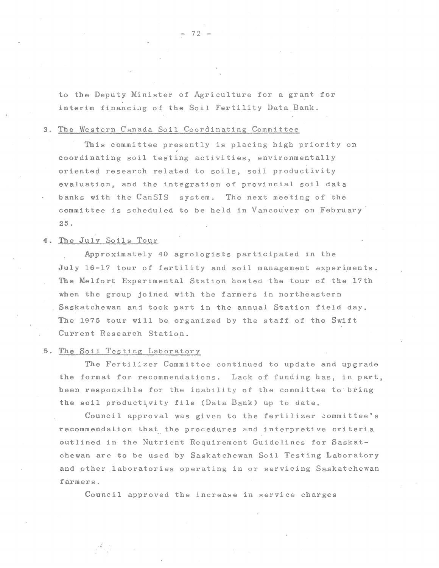to the Deputy Minister of Agriculture for a grant for interim financing of the Soil Fertility Data Bank.

#### 3. The Western Canada Soil Coordinating Committee

This committee presently is placing high priority on coordinating soil testing activities, environmentally oriented research related to soils, soil productivity evaluation, and the integration of provincial soil data banks with the CanSIS system. The next meeting of the committee is scheduled to be held in Vancouver on February 25.

# 4. The July Soils Tour

Approximately 40 agrologists participated in the July 16-17 tour of fertility and soil management experiments. The Melfort Experimental Station hosted the tour of the 17th when the group joined with the farmers in northeastern Saskatchewan anj took part in the annual Station field day. The 1975 tour will be organized by the staff of the Swift Current Research Station.

## 5. The Soil Testing Laboratory

The Fertil:zer Committee continued to update and upgrade the format for recommendations. Lack of funding has, in part, been responsible for the inability of the committee to bring the soil productivity file (Data Bank) up to date.

Council approval was given to the fertilizer committee's recommendation that the procedures and interpretive criteria outlined in the Nutrient Requirement Guidelines for Saskatchewan are to be used by Saskatchewan Soil Testing Laboratory and other laboratories operating in or servicing Saskatchewan farmers.

Council approved the increase in service charges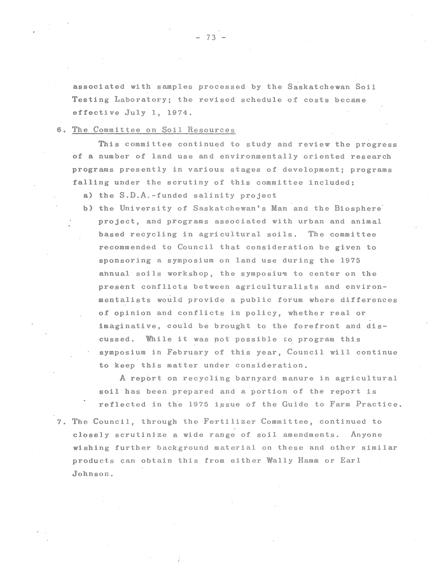associated with samples processed by the Saskatchewan Soil Testing Laboratory; the revised schedule of costs became effective July 1, 1974.

#### 6. The Committee on Soil Resources

This committee continued to study and review the progress of a number of land use and environmentally oriented research programs presently in various stages of development; programs falling under the scrutiny of this committee included:

- a) the  $S.D.A.$ -funded salinity project
- b) the University of Saskatchewan's Man and the Biosphere· project, and programs associated with urban and animal based recycling in agricultural soils. The committee recommended to Council that consideration be given to sponsoring a symposium on land use during the 1975 annual soils workshop, the symposium to center on the present conflicts between agriculturalists and environmentalists would provide a public forum where differences of opinion and conflicts in policy, whether real or imaginative, could be brought to the forefront and discussed. While it was pot possible to program this symposium in February of this year, Council will continue to keep this matter under consideration.

A report on recycling barnyard manure in agricultural soil has been prepared and a portion of the report is reflected in the 1975 issue of the Guide to Farm Practice.

7. The Council, through the Fertilizer Committee, continued t6 closely scrutinize a wide range of soil amendments. Anyone wishing further background material on these and other similar products can obtain this from either Wally Hamm or Earl Johnson.

7 3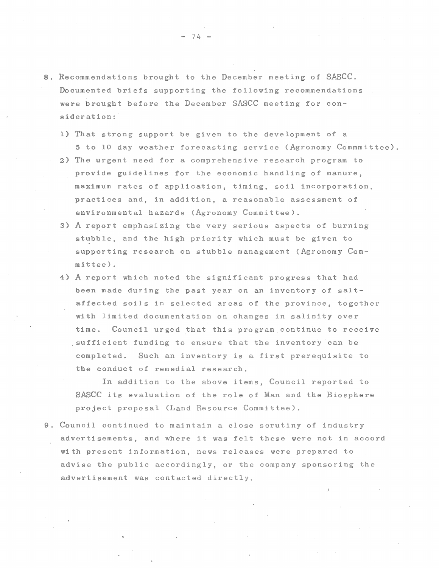- 8. Recommendations brought to the December meeting of SASCC. Documented briefs supporting the following recommendations were brought before the December SASCC meeting for consideration:
	- 1) That strong support be given to the development of a 5 to 10 day weather forecasting service (Agronomy Commmittee).
	- 2) The urgent need for a comprehensive research program to provide guidelines for the economic handling of manure, maximum rates of application, timing, soil incorporation, practices and, in addition, a reasonable assessment of environmental hazards (Agronomy Committee).
	- 3) A report emphasizing the very serious aspects of burning stubble, and the high priority which must be given to supporting research on stubble management (Agronomy Committee).
	- 4) A report which noted the significant pr.ogress that had been made during the past year on an inventory of saltaffected soils in selected areas of the province, together with limited documentation on changes in salinity over time. Council urged that this program continue to receive .sufficient funding to ensure that the inventory can be completed. Such an inventory is a first prerequisite to the conduct of remedial research.

In addition to the above items, Council reported to SASCC its evaluation of the role of Man and the Biosphere project proposal (Land Resource Committee).

9. Council continued to maintain a close scrutiny of industry advertisements, and where it was felt these were not in accord with present information, news releases were prepared to advise the public accordingly, or the company sponsoring the advertisement was contacted directly.